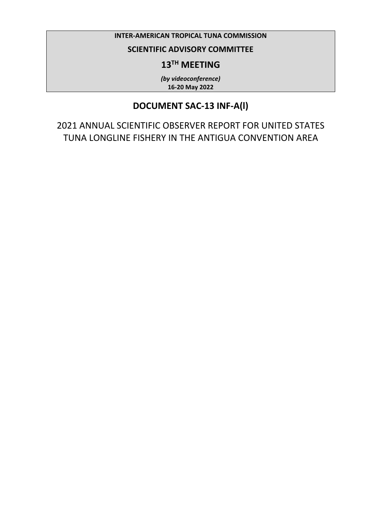#### **INTER-AMERICAN TROPICAL TUNA COMMISSION**

### **SCIENTIFIC ADVISORY COMMITTEE**

# **13TH MEETING**

*(by videoconference)* **16-20 May 2022**

# **DOCUMENT SAC-13 INF-A(l)**

2021 ANNUAL SCIENTIFIC OBSERVER REPORT FOR UNITED STATES TUNA LONGLINE FISHERY IN THE ANTIGUA CONVENTION AREA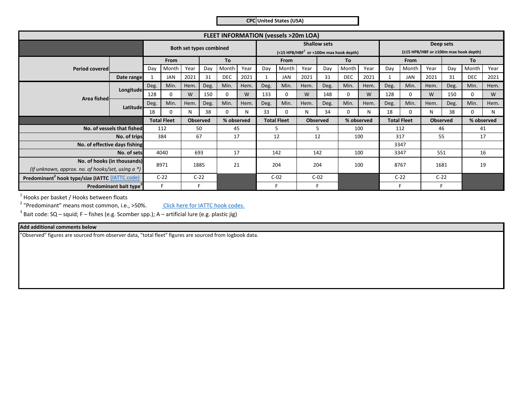**CPC United States (USA)**

| <b>FLEET INFORMATION (vessels &gt;20m LOA)</b>                                      |                            |        |                         |            |                 |             |                                                                              |              |                    |      |                 |                                                    |            |        |                    |      |                 |            |            |
|-------------------------------------------------------------------------------------|----------------------------|--------|-------------------------|------------|-----------------|-------------|------------------------------------------------------------------------------|--------------|--------------------|------|-----------------|----------------------------------------------------|------------|--------|--------------------|------|-----------------|------------|------------|
|                                                                                     |                            |        | Both set types combined |            |                 |             | <b>Shallow sets</b><br>$(<$ 15 HPB/HBF <sup>1</sup> or <100m max hook depth) |              |                    |      |                 | Deep sets<br>(≥15 HPB/HBF or ≥100m max hook depth) |            |        |                    |      |                 |            |            |
|                                                                                     |                            | From   |                         | To         |                 | From        |                                                                              | To           |                    | From |                 |                                                    | To         |        |                    |      |                 |            |            |
| <b>Period covered</b>                                                               |                            | Day    | Month                   | Year       | Day             | Month       | Year                                                                         | Day          | Month              | Year | Day             | Month                                              | Year       | Day    | Month              | Year | Day             | Month      | Year       |
|                                                                                     | Date range                 |        | <b>JAN</b>              | 2021       | 31              | <b>DEC</b>  | 2021                                                                         | $\mathbf{1}$ | <b>JAN</b>         | 2021 | 31              | <b>DEC</b>                                         | 2021       |        | <b>JAN</b>         | 2021 | 31              | <b>DEC</b> | 2021       |
|                                                                                     | Longitude-                 | Deg.   | Min.                    | Hem.       | Deg.            | Min.        | Hem.                                                                         | Deg.         | Min.               | Hem. | Deg.            | Min.                                               | Hem.       | Deg.   | Min.               | Hem. | Deg.            | Min.       | Hem.       |
|                                                                                     |                            | 128    | O                       | W          | 150             | $\mathbf 0$ | W                                                                            | 133          | $\Omega$           | W    | 148             |                                                    | W          | 128    | $\mathbf 0$        | W    | 150             | 0          | W          |
| Area fished                                                                         | Latitude <b>l</b>          | Deg.   | Min.                    | Hem.       | Deg.            | Min.        | Hem.                                                                         | Deg.         | Min.               | Hem. | Deg.            | Min.                                               | Hem.       | Deg.   | Min.               | Hem. | Deg.            | Min.       | Hem.       |
|                                                                                     |                            | 18     | O                       | N          | 38              | $\Omega$    | N                                                                            | 33           | $\Omega$           | N    | 34              | <sup>n</sup>                                       | N          | 18     | $\Omega$           | N    | 38              | 0          | N          |
|                                                                                     |                            |        | <b>Total Fleet</b>      |            | <b>Observed</b> |             | % observed                                                                   |              | <b>Total Fleet</b> |      | <b>Observed</b> |                                                    | % observed |        | <b>Total Fleet</b> |      | <b>Observed</b> |            | % observed |
|                                                                                     | No. of vessels that fished | 112    |                         | 50<br>45   |                 | 5           |                                                                              | 5            |                    | 100  |                 | 112                                                |            | 46     |                    | 41   |                 |            |            |
|                                                                                     | No. of trips               | 384    |                         | 67<br>17   |                 | 12          |                                                                              | 12           |                    | 100  |                 | 317                                                |            | 55     |                    | 17   |                 |            |            |
| No. of effective days fishing                                                       |                            |        |                         |            |                 |             |                                                                              |              |                    |      |                 | 3347                                               |            |        |                    |      |                 |            |            |
| No. of sets                                                                         |                            | 4040   |                         |            | 693<br>17       |             |                                                                              | 142          |                    | 142  |                 | 100                                                |            | 3347   |                    | 551  |                 | 16         |            |
| No. of hooks (in thousands)<br>(If unknown, approx. no. of hooks/set, using $a *$ ) |                            | 8971   |                         | 21<br>1885 |                 | 204         |                                                                              | 204          |                    | 100  |                 | 8767                                               |            | 1681   |                    | 19   |                 |            |            |
| Predominant <sup>2</sup> hook type/size (IATTC (IATTC code)                         |                            | $C-22$ |                         | $C-22$     |                 | $C-02$      |                                                                              | $C-02$       |                    |      |                 | $C-22$                                             |            | $C-22$ |                    |      |                 |            |            |
| Predominant bait type <sup>2</sup>                                                  |                            |        | F                       |            | F               |             |                                                                              |              |                    |      | F               |                                                    |            |        |                    |      | F               |            |            |

 $<sup>1</sup>$  Hooks per basket / Hooks between floats</sup>

<sup>2</sup> "Predominant" means most common, i.e., >50%.

Click here for IATTC hook codes.

<sup>3</sup> Bait code: SQ – squid; F – fishes (e.g. Scomber spp.); A – artificial lure (e.g. plastic jig)

#### **Add additional comments below**

"Observed" figures are sourced from observer data, "total fleet" figures are sourced from logbook data.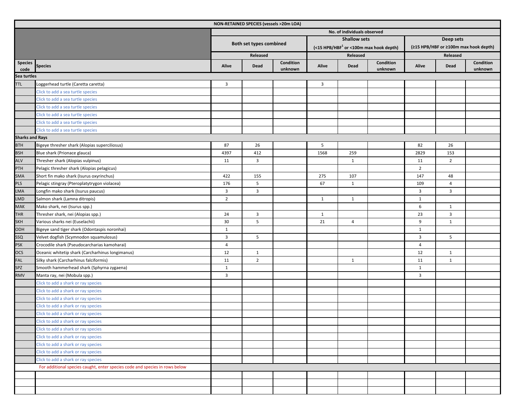|                        | NON-RETAINED SPECIES (vessels >20m LOA)                                     |                             |                         |                      |                |                     |                                              |                                       |                |                      |  |  |  |  |
|------------------------|-----------------------------------------------------------------------------|-----------------------------|-------------------------|----------------------|----------------|---------------------|----------------------------------------------|---------------------------------------|----------------|----------------------|--|--|--|--|
|                        |                                                                             | No. of individuals observed |                         |                      |                |                     |                                              |                                       |                |                      |  |  |  |  |
|                        |                                                                             |                             |                         |                      |                | <b>Shallow sets</b> |                                              | Deep sets                             |                |                      |  |  |  |  |
|                        |                                                                             |                             | Both set types combined |                      |                |                     | $($ <15 HPB/HBF $1$ or <100m max hook depth) | (≥15 HPB/HBF or ≥100m max hook depth) |                |                      |  |  |  |  |
|                        |                                                                             |                             | Released                |                      |                | Released            |                                              | Released                              |                |                      |  |  |  |  |
| <b>Species</b><br>code | <b>Species</b>                                                              | Alive                       | Dead                    | Condition<br>unknown | Alive          | Dead                | Condition<br>unknown                         | Alive                                 | Dead           | Condition<br>unknown |  |  |  |  |
| Sea turtles            |                                                                             |                             |                         |                      |                |                     |                                              |                                       |                |                      |  |  |  |  |
| <b>TTL</b>             | Loggerhead turtle (Caretta caretta)                                         | $\overline{\mathbf{3}}$     |                         |                      | $\overline{3}$ |                     |                                              |                                       |                |                      |  |  |  |  |
|                        | Click to add a sea turtle species                                           |                             |                         |                      |                |                     |                                              |                                       |                |                      |  |  |  |  |
|                        | Click to add a sea turtle species                                           |                             |                         |                      |                |                     |                                              |                                       |                |                      |  |  |  |  |
|                        | Click to add a sea turtle species                                           |                             |                         |                      |                |                     |                                              |                                       |                |                      |  |  |  |  |
|                        | Click to add a sea turtle species                                           |                             |                         |                      |                |                     |                                              |                                       |                |                      |  |  |  |  |
|                        | Click to add a sea turtle species                                           |                             |                         |                      |                |                     |                                              |                                       |                |                      |  |  |  |  |
|                        | Click to add a sea turtle species                                           |                             |                         |                      |                |                     |                                              |                                       |                |                      |  |  |  |  |
| <b>Sharks and Rays</b> |                                                                             |                             |                         |                      |                |                     |                                              |                                       |                |                      |  |  |  |  |
| <b>BTH</b>             | Bigeye thresher shark (Alopias superciliosus)                               | 87                          | 26                      |                      | 5              |                     |                                              | 82                                    | 26             |                      |  |  |  |  |
| <b>BSH</b>             | Blue shark (Prionace glauca)                                                | 4397                        | 412                     |                      | 1568           | 259                 |                                              | 2829                                  | 153            |                      |  |  |  |  |
| ALV                    | Thresher shark (Alopias vulpinus)                                           | 11                          | $\overline{3}$          |                      |                | $\mathbf{1}$        |                                              | 11                                    | $\overline{2}$ |                      |  |  |  |  |
| PTH                    | Pelagic thresher shark (Alopias pelagicus)                                  |                             |                         |                      |                |                     |                                              | $\overline{2}$                        |                |                      |  |  |  |  |
| <b>SMA</b>             | Short fin mako shark (Isurus oxyrinchus)                                    | 422                         | 155                     |                      | 275            | 107                 |                                              | 147                                   | 48             |                      |  |  |  |  |
| <b>PLS</b>             | Pelagic stingray (Pteroplatytrygon violacea)                                | 176                         | 5                       |                      | 67             | $\mathbf{1}$        |                                              | 109                                   | $\overline{4}$ |                      |  |  |  |  |
| <b>LMA</b>             | Longfin mako shark (Isurus paucus)                                          | 3                           | $\overline{3}$          |                      |                |                     |                                              | 3                                     | 3              |                      |  |  |  |  |
| <b>LMD</b>             | Salmon shark (Lamna ditropis)                                               | $\overline{2}$              |                         |                      | $\mathbf{1}$   | $\mathbf{1}$        |                                              | $\mathbf{1}$                          |                |                      |  |  |  |  |
| <b>MAK</b>             | Mako shark, nei (Isurus spp.)                                               |                             |                         |                      |                |                     |                                              | 6                                     | $\mathbf{1}$   |                      |  |  |  |  |
| <b>THR</b>             | Thresher shark, nei (Alopias spp.)                                          | 24                          | $\overline{\mathbf{3}}$ |                      | $\mathbf{1}$   |                     |                                              | 23                                    | 3              |                      |  |  |  |  |
| <b>SKH</b>             | Various sharks nei (Euselachii)                                             | 30                          | 5                       |                      | 21             | $\overline{4}$      |                                              | 9                                     | $\mathbf{1}$   |                      |  |  |  |  |
| <b>ODH</b>             | Bigeye sand tiger shark (Odontaspis noronhai)                               | 1                           |                         |                      |                |                     |                                              | $\mathbf{1}$                          |                |                      |  |  |  |  |
| SSQ                    | Velvet dogfish (Scymnodon squamulosus)                                      | 3                           | 5                       |                      |                |                     |                                              | $\overline{3}$                        | 5              |                      |  |  |  |  |
| <b>PSK</b>             | Crocodile shark (Pseudocarcharias kamoharai)                                | $\overline{4}$              |                         |                      |                |                     |                                              | $\overline{4}$                        |                |                      |  |  |  |  |
| <b>OCS</b>             | Oceanic whitetip shark (Carcharhinus longimanus)                            | 12                          | $\mathbf{1}$            |                      |                |                     |                                              | 12                                    | $\mathbf{1}$   |                      |  |  |  |  |
| <b>FAL</b>             | Silky shark (Carcharhinus falciformis)                                      | 11                          | $\overline{2}$          |                      |                | 1                   |                                              | 11                                    | $\mathbf{1}$   |                      |  |  |  |  |
| SPZ                    | Smooth hammerhead shark (Sphyrna zygaena)                                   | $\mathbf{1}$                |                         |                      |                |                     |                                              | $\mathbf{1}$                          |                |                      |  |  |  |  |
| <b>RMV</b>             | Manta ray, nei (Mobula spp.)                                                | $\mathbf{3}$                |                         |                      |                |                     |                                              | 3                                     |                |                      |  |  |  |  |
|                        | Click to add a shark or ray species                                         |                             |                         |                      |                |                     |                                              |                                       |                |                      |  |  |  |  |
|                        | Click to add a shark or ray species                                         |                             |                         |                      |                |                     |                                              |                                       |                |                      |  |  |  |  |
|                        | Click to add a shark or ray species                                         |                             |                         |                      |                |                     |                                              |                                       |                |                      |  |  |  |  |
|                        | Click to add a shark or ray species                                         |                             |                         |                      |                |                     |                                              |                                       |                |                      |  |  |  |  |
|                        | Click to add a shark or ray species                                         |                             |                         |                      |                |                     |                                              |                                       |                |                      |  |  |  |  |
|                        | Click to add a shark or ray species                                         |                             |                         |                      |                |                     |                                              |                                       |                |                      |  |  |  |  |
|                        | Click to add a shark or ray species                                         |                             |                         |                      |                |                     |                                              |                                       |                |                      |  |  |  |  |
|                        | Click to add a shark or ray species                                         |                             |                         |                      |                |                     |                                              |                                       |                |                      |  |  |  |  |
|                        | Click to add a shark or ray species                                         |                             |                         |                      |                |                     |                                              |                                       |                |                      |  |  |  |  |
|                        | Click to add a shark or ray species                                         |                             |                         |                      |                |                     |                                              |                                       |                |                      |  |  |  |  |
|                        | Click to add a shark or ray species                                         |                             |                         |                      |                |                     |                                              |                                       |                |                      |  |  |  |  |
|                        | For additional species caught, enter species code and species in rows below |                             |                         |                      |                |                     |                                              |                                       |                |                      |  |  |  |  |
|                        |                                                                             |                             |                         |                      |                |                     |                                              |                                       |                |                      |  |  |  |  |
|                        |                                                                             |                             |                         |                      |                |                     |                                              |                                       |                |                      |  |  |  |  |
|                        |                                                                             |                             |                         |                      |                |                     |                                              |                                       |                |                      |  |  |  |  |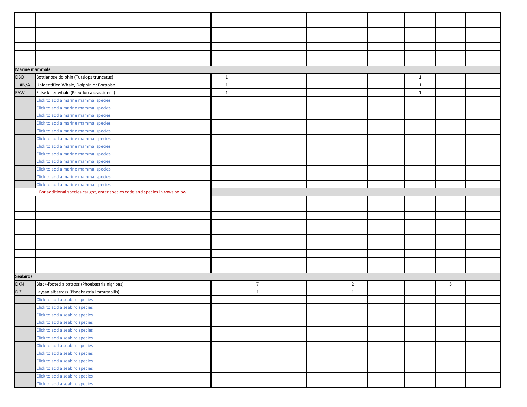| <b>Marine mammals</b> |                                                                             |              |                |  |                |              |   |  |
|-----------------------|-----------------------------------------------------------------------------|--------------|----------------|--|----------------|--------------|---|--|
| DBO                   | Bottlenose dolphin (Tursiops truncatus)                                     | $\mathbf{1}$ |                |  |                | $\mathbf{1}$ |   |  |
| #N/A                  | Unidentified Whale, Dolphin or Porpoise                                     | $\mathbf{1}$ |                |  |                | $\mathbf{1}$ |   |  |
| <b>FAW</b>            | False killer whale (Pseudorca crassidens)                                   | $\mathbf{1}$ |                |  |                | $\mathbf{1}$ |   |  |
|                       | Click to add a marine mammal species                                        |              |                |  |                |              |   |  |
|                       | Click to add a marine mammal species                                        |              |                |  |                |              |   |  |
|                       | Click to add a marine mammal species                                        |              |                |  |                |              |   |  |
|                       | Click to add a marine mammal species                                        |              |                |  |                |              |   |  |
|                       | Click to add a marine mammal species                                        |              |                |  |                |              |   |  |
|                       | Click to add a marine mammal species                                        |              |                |  |                |              |   |  |
|                       | Click to add a marine mammal species                                        |              |                |  |                |              |   |  |
|                       | Click to add a marine mammal species                                        |              |                |  |                |              |   |  |
|                       | Click to add a marine mammal species                                        |              |                |  |                |              |   |  |
|                       | Click to add a marine mammal species                                        |              |                |  |                |              |   |  |
|                       | Click to add a marine mammal species                                        |              |                |  |                |              |   |  |
|                       | Click to add a marine mammal species                                        |              |                |  |                |              |   |  |
|                       | For additional species caught, enter species code and species in rows below |              |                |  |                |              |   |  |
|                       |                                                                             |              |                |  |                |              |   |  |
|                       |                                                                             |              |                |  |                |              |   |  |
|                       |                                                                             |              |                |  |                |              |   |  |
|                       |                                                                             |              |                |  |                |              |   |  |
|                       |                                                                             |              |                |  |                |              |   |  |
|                       |                                                                             |              |                |  |                |              |   |  |
|                       |                                                                             |              |                |  |                |              |   |  |
|                       |                                                                             |              |                |  |                |              |   |  |
|                       |                                                                             |              |                |  |                |              |   |  |
|                       |                                                                             |              |                |  |                |              |   |  |
| <b>Seabirds</b>       |                                                                             |              |                |  |                |              |   |  |
| <b>DKN</b>            | Black-footed albatross (Phoebastria nigripes)                               |              | $\overline{7}$ |  | $\overline{2}$ |              | 5 |  |
| <b>DIZ</b>            | Laysan albatross (Phoebastria immutabilis)                                  |              | $\mathbf{1}$   |  | $\mathbf{1}$   |              |   |  |
|                       | Click to add a seabird species                                              |              |                |  |                |              |   |  |
|                       | Click to add a seabird species                                              |              |                |  |                |              |   |  |
|                       | Click to add a seabird species                                              |              |                |  |                |              |   |  |
|                       | Click to add a seabird species                                              |              |                |  |                |              |   |  |
|                       | Click to add a seabird species                                              |              |                |  |                |              |   |  |
|                       | Click to add a seabird species                                              |              |                |  |                |              |   |  |
|                       | Click to add a seabird species                                              |              |                |  |                |              |   |  |
|                       | Click to add a seabird species                                              |              |                |  |                |              |   |  |
|                       | Click to add a seabird species                                              |              |                |  |                |              |   |  |
|                       | Click to add a seabird species                                              |              |                |  |                |              |   |  |
|                       | Click to add a seabird species                                              |              |                |  |                |              |   |  |
|                       | Click to add a seabird species                                              |              |                |  |                |              |   |  |